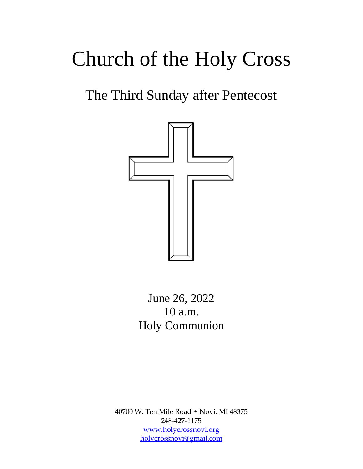# Church of the Holy Cross

## The Third Sunday after Pentecost



## June 26, 2022 10 a.m. Holy Communion

40700 W. Ten Mile Road • Novi, MI 48375 248-427-1175 [www.holycrossnovi.org](http://www.holycrossnovi.org/) [holycrossnovi@gmail.com](mailto:holycrossnovi@gmail.com)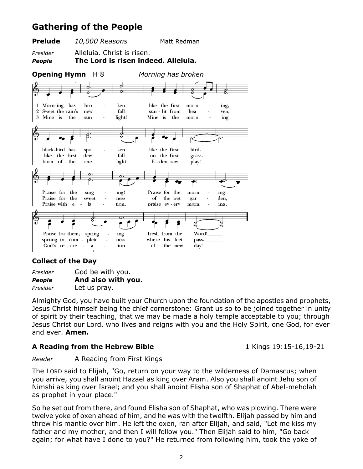### **Gathering of the People**



### **Collect of the Day**

| Presider | God be with you.   |
|----------|--------------------|
| People   | And also with you. |
| Presider | Let us pray.       |

Almighty God, you have built your Church upon the foundation of the apostles and prophets, Jesus Christ himself being the chief cornerstone: Grant us so to be joined together in unity of spirit by their teaching, that we may be made a holy temple acceptable to you; through Jesus Christ our Lord, who lives and reigns with you and the Holy Spirit, one God, for ever and ever. **Amen.**

#### **A Reading from the Hebrew Bible** 1 Kings 19:15-16,19-21

*Reader* A Reading from First Kings

The LORD said to Elijah, "Go, return on your way to the wilderness of Damascus; when you arrive, you shall anoint Hazael as king over Aram. Also you shall anoint Jehu son of Nimshi as king over Israel; and you shall anoint Elisha son of Shaphat of Abel-meholah as prophet in your place."

So he set out from there, and found Elisha son of Shaphat, who was plowing. There were twelve yoke of oxen ahead of him, and he was with the twelfth. Elijah passed by him and threw his mantle over him. He left the oxen, ran after Elijah, and said, "Let me kiss my father and my mother, and then I will follow you." Then Elijah said to him, "Go back again; for what have I done to you?" He returned from following him, took the yoke of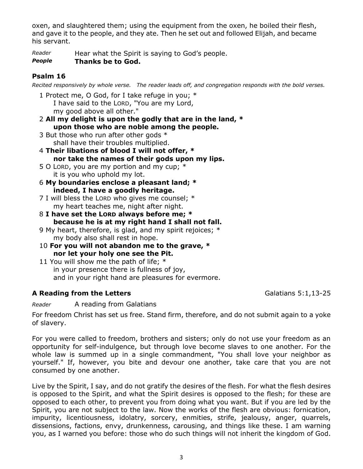oxen, and slaughtered them; using the equipment from the oxen, he boiled their flesh, and gave it to the people, and they ate. Then he set out and followed Elijah, and became his servant.

*Reader* Hear what the Spirit is saying to God's people.

#### *People* **Thanks be to God.**

### **Psalm 16**

*Recited responsively by whole verse. The reader leads off, and congregation responds with the bold verses.*

1 Protect me, O God, for I take refuge in you; \* I have said to the LORD, "You are my Lord, my good above all other."

- 2 **All my delight is upon the godly that are in the land, \* upon those who are noble among the people.**
- 3 But those who run after other gods \* shall have their troubles multiplied.
- 4 **Their libations of blood I will not offer, \* nor take the names of their gods upon my lips.**
- 5 O LORD, you are my portion and my cup;  $*$ it is you who uphold my lot.
- 6 **My boundaries enclose a pleasant land; \* indeed, I have a goodly heritage.**
- 7 I will bless the LORD who gives me counsel; \* my heart teaches me, night after night.
- 8 **I have set the LORD always before me; \* because he is at my right hand I shall not fall.**
- 9 My heart, therefore, is glad, and my spirit rejoices; \* my body also shall rest in hope.
- 10 **For you will not abandon me to the grave, \* nor let your holy one see the Pit.**
- 11 You will show me the path of life; \* in your presence there is fullness of joy, and in your right hand are pleasures for evermore.

### A Reading from the Letters **A Reading from the Letters Galatians 5:1,13-25**

*Reader* A reading from Galatians

For freedom Christ has set us free. Stand firm, therefore, and do not submit again to a yoke of slavery.

For you were called to freedom, brothers and sisters; only do not use your freedom as an opportunity for self-indulgence, but through love become slaves to one another. For the whole law is summed up in a single commandment, "You shall love your neighbor as yourself." If, however, you bite and devour one another, take care that you are not consumed by one another.

Live by the Spirit, I say, and do not gratify the desires of the flesh. For what the flesh desires is opposed to the Spirit, and what the Spirit desires is opposed to the flesh; for these are opposed to each other, to prevent you from doing what you want. But if you are led by the Spirit, you are not subject to the law. Now the works of the flesh are obvious: fornication, impurity, licentiousness, idolatry, sorcery, enmities, strife, jealousy, anger, quarrels, dissensions, factions, envy, drunkenness, carousing, and things like these. I am warning you, as I warned you before: those who do such things will not inherit the kingdom of God.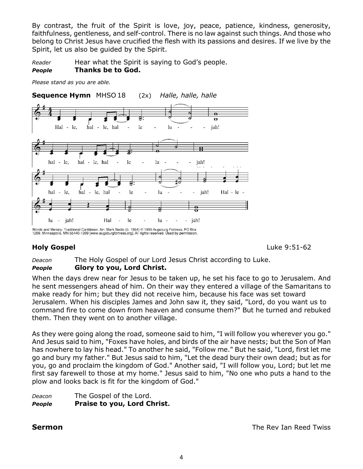By contrast, the fruit of the Spirit is love, joy, peace, patience, kindness, generosity, faithfulness, gentleness, and self-control. There is no law against such things. And those who belong to Christ Jesus have crucified the flesh with its passions and desires. If we live by the Spirit, let us also be guided by the Spirit.

*Reader* Hear what the Spirit is saying to God's people. *People* **Thanks be to God.**

*Please stand as you are able.*

**Sequence Hymn** MHSO 18 (2x) *Halle, halle, halle*



Words and Melody: Traditional Caribbean. Arr. Mark Sedio (b. 1954) © 1995 Augsburg Fortress, PO Box<br>1209, Minneapolis, MN 55440-1209 [www.augsburgfortress.org]. All rights reserved. Used by permission.

**Holy Gospel** Luke 9:51-62

*Deacon* The Holy Gospel of our Lord Jesus Christ according to Luke. *People* **Glory to you, Lord Christ.** 

When the days drew near for Jesus to be taken up, he set his face to go to Jerusalem. And he sent messengers ahead of him. On their way they entered a village of the Samaritans to make ready for him; but they did not receive him, because his face was set toward Jerusalem. When his disciples James and John saw it, they said, "Lord, do you want us to command fire to come down from heaven and consume them?" But he turned and rebuked them. Then they went on to another village.

As they were going along the road, someone said to him, "I will follow you wherever you go." And Jesus said to him, "Foxes have holes, and birds of the air have nests; but the Son of Man has nowhere to lay his head." To another he said, "Follow me." But he said, "Lord, first let me go and bury my father." But Jesus said to him, "Let the dead bury their own dead; but as for you, go and proclaim the kingdom of God." Another said, "I will follow you, Lord; but let me first say farewell to those at my home." Jesus said to him, "No one who puts a hand to the plow and looks back is fit for the kingdom of God."

#### *Deacon* The Gospel of the Lord. *People* **Praise to you, Lord Christ.**

**Sermon** The Rev Ian Reed Twiss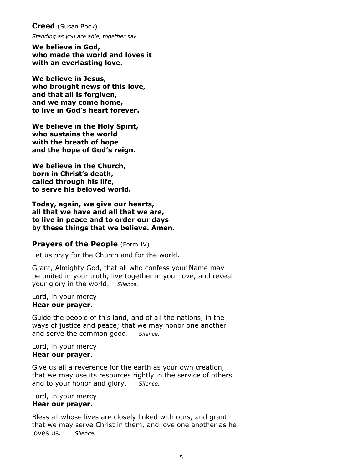**Creed** (Susan Bock)

*Standing as you are able, together say*

**We believe in God, who made the world and loves it with an everlasting love.**

**We believe in Jesus, who brought news of this love, and that all is forgiven, and we may come home, to live in God's heart forever.**

**We believe in the Holy Spirit, who sustains the world with the breath of hope and the hope of God's reign.** 

**We believe in the Church, born in Christ's death, called through his life, to serve his beloved world.** 

**Today, again, we give our hearts, all that we have and all that we are, to live in peace and to order our days by these things that we believe. Amen.**

#### **Prayers of the People** (Form IV)

Let us pray for the Church and for the world.

Grant, Almighty God, that all who confess your Name may be united in your truth, live together in your love, and reveal your glory in the world. *Silence.* 

Lord, in your mercy **Hear our prayer.** 

Guide the people of this land, and of all the nations, in the ways of justice and peace; that we may honor one another and serve the common good. *Silence.* 

#### Lord, in your mercy **Hear our prayer.**

Give us all a reverence for the earth as your own creation, that we may use its resources rightly in the service of others and to your honor and glory. *Silence.* 

Lord, in your mercy **Hear our prayer.** 

Bless all whose lives are closely linked with ours, and grant that we may serve Christ in them, and love one another as he loves us. *Silence.*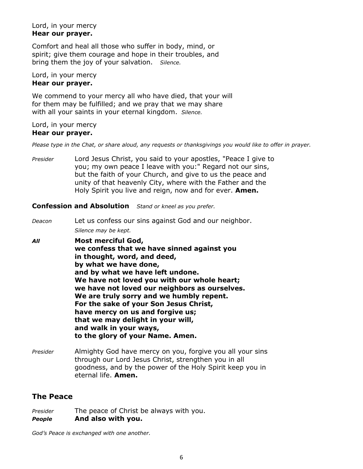#### Lord, in your mercy **Hear our prayer.**

Comfort and heal all those who suffer in body, mind, or spirit; give them courage and hope in their troubles, and bring them the joy of your salvation. *Silence.* 

#### Lord, in your mercy **Hear our prayer.**

We commend to your mercy all who have died, that your will for them may be fulfilled; and we pray that we may share with all your saints in your eternal kingdom. *Silence.* 

#### Lord, in your mercy **Hear our prayer.**

*Please type in the Chat, or share aloud, any requests or thanksgivings you would like to offer in prayer.*

*Presider* Lord Jesus Christ, you said to your apostles, "Peace I give to you; my own peace I leave with you:" Regard not our sins, but the faith of your Church, and give to us the peace and unity of that heavenly City, where with the Father and the Holy Spirit you live and reign, now and for ever. **Amen.**

#### **Confession and Absolution** *Stand or kneel as you prefer.*

*Deacon* Let us confess our sins against God and our neighbor. *Silence may be kept.*

*All* **Most merciful God, we confess that we have sinned against you in thought, word, and deed, by what we have done, and by what we have left undone. We have not loved you with our whole heart; we have not loved our neighbors as ourselves. We are truly sorry and we humbly repent. For the sake of your Son Jesus Christ, have mercy on us and forgive us; that we may delight in your will, and walk in your ways, to the glory of your Name. Amen.**

*Presider* Almighty God have mercy on you, forgive you all your sins through our Lord Jesus Christ, strengthen you in all goodness, and by the power of the Holy Spirit keep you in eternal life. **Amen.**

#### **The Peace**

*Presider* The peace of Christ be always with you. *People* **And also with you.** 

*God's Peace is exchanged with one another.*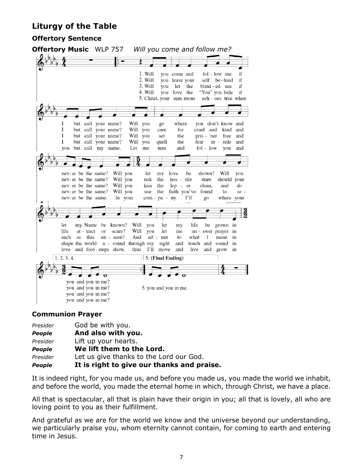### **Liturgy of the Table**

#### **Offertory Sentence**



#### **Communion Prayer**

| Presider      | God be with you.                           |  |
|---------------|--------------------------------------------|--|
| <b>People</b> | And also with you.                         |  |
| Presider      | Lift up your hearts.                       |  |
| <b>People</b> | We lift them to the Lord.                  |  |
| Presider      | Let us give thanks to the Lord our God.    |  |
| <b>People</b> | It is right to give our thanks and praise. |  |

It is indeed right, for you made us, and before you made us, you made the world we inhabit, and before the world, you made the eternal home in which, through Christ, we have a place.

All that is spectacular, all that is plain have their origin in you; all that is lovely, all who are loving point to you as their fulfillment.

And grateful as we are for the world we know and the universe beyond our understanding, we particularly praise you, whom eternity cannot contain, for coming to earth and entering time in Jesus.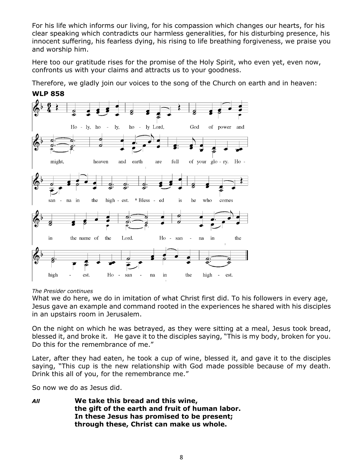For his life which informs our living, for his compassion which changes our hearts, for his clear speaking which contradicts our harmless generalities, for his disturbing presence, his innocent suffering, his fearless dying, his rising to life breathing forgiveness, we praise you and worship him.

Here too our gratitude rises for the promise of the Holy Spirit, who even yet, even now, confronts us with your claims and attracts us to your goodness.

Therefore, we gladly join our voices to the song of the Church on earth and in heaven:



#### **WLP 858**

#### *The Presider continues*

What we do here, we do in imitation of what Christ first did. To his followers in every age, Jesus gave an example and command rooted in the experiences he shared with his disciples in an upstairs room in Jerusalem.

On the night on which he was betrayed, as they were sitting at a meal, Jesus took bread, blessed it, and broke it. He gave it to the disciples saying, "This is my body, broken for you. Do this for the remembrance of me."

Later, after they had eaten, he took a cup of wine, blessed it, and gave it to the disciples saying, "This cup is the new relationship with God made possible because of my death. Drink this all of you, for the remembrance me."

So now we do as Jesus did.

*All* **We take this bread and this wine, the gift of the earth and fruit of human labor. In these Jesus has promised to be present; through these, Christ can make us whole.**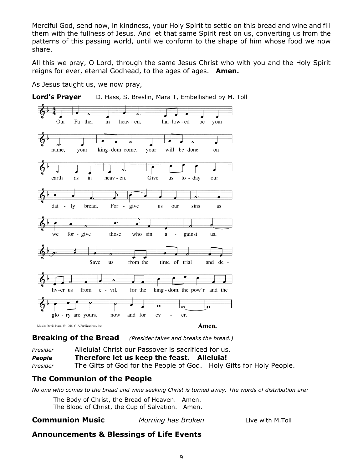Merciful God, send now, in kindness, your Holy Spirit to settle on this bread and wine and fill them with the fullness of Jesus. And let that same Spirit rest on us, converting us from the patterns of this passing world, until we conform to the shape of him whose food we now share.

All this we pray, O Lord, through the same Jesus Christ who with you and the Holy Spirit reigns for ever, eternal Godhead, to the ages of ages. **Amen.**

As Jesus taught us, we now pray,



**Breaking of the Bread** *(Presider takes and breaks the bread.)*

*Presider* Alleluia! Christ our Passover is sacrificed for us. *People* **Therefore let us keep the feast. Alleluia!** *Presider* The Gifts of God for the People of God. Holy Gifts for Holy People.

### **The Communion of the People**

*No one who comes to the bread and wine seeking Christ is turned away. The words of distribution are:*

The Body of Christ, the Bread of Heaven. Amen. The Blood of Christ, the Cup of Salvation. Amen.

#### **Communion Music** *Morning has Broken* Live with M.Toll

### **Announcements & Blessings of Life Events**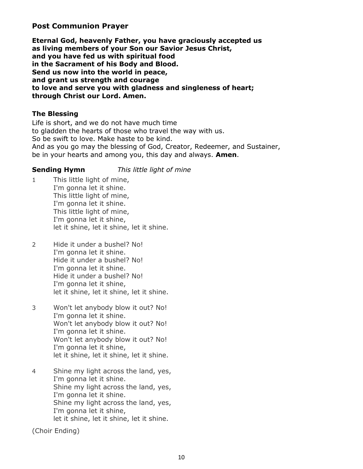#### **Post Communion Prayer**

**Eternal God, heavenly Father, you have graciously accepted us as living members of your Son our Savior Jesus Christ, and you have fed us with spiritual food in the Sacrament of his Body and Blood. Send us now into the world in peace, and grant us strength and courage to love and serve you with gladness and singleness of heart; through Christ our Lord. Amen.**

#### **The Blessing**

Life is short, and we do not have much time to gladden the hearts of those who travel the way with us. So be swift to love. Make haste to be kind. And as you go may the blessing of God, Creator, Redeemer, and Sustainer, be in your hearts and among you, this day and always. **Amen**.

**Sending Hymn** *This little light of mine*

- 1 This little light of mine, I'm gonna let it shine. This little light of mine, I'm gonna let it shine. This little light of mine, I'm gonna let it shine, let it shine, let it shine, let it shine.
- 2 Hide it under a bushel? No! I'm gonna let it shine. Hide it under a bushel? No! I'm gonna let it shine. Hide it under a bushel? No! I'm gonna let it shine, let it shine, let it shine, let it shine.
- 3 Won't let anybody blow it out? No! I'm gonna let it shine. Won't let anybody blow it out? No! I'm gonna let it shine. Won't let anybody blow it out? No! I'm gonna let it shine, let it shine, let it shine, let it shine.
- 4 Shine my light across the land, yes, I'm gonna let it shine. Shine my light across the land, yes, I'm gonna let it shine. Shine my light across the land, yes, I'm gonna let it shine, let it shine, let it shine, let it shine.

(Choir Ending)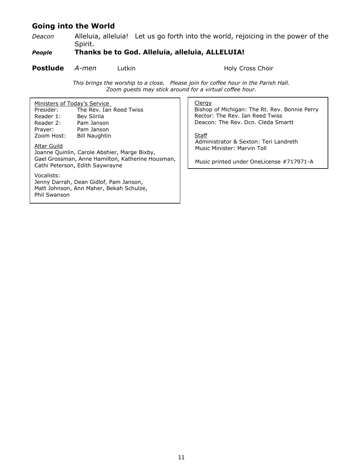### **Going into the World**

*Deacon* Alleluia, alleluia! Let us go forth into the world, rejoicing in the power of the Spirit.

#### *People* **Thanks be to God. Alleluia, alleluia, ALLELUIA!**

#### **Postlude** *A-men* Lutkin **Holy Cross Choir**

*This brings the worship to a close. Please join for coffee hour in the Parish Hall. Zoom guests may stick around for a virtual coffee hour.*

| Ministers of Today's Service<br>The Rev. Ian Reed Twiss<br>Presider:<br>Reader 1:<br>Bev Siirila<br>Reader 2:<br>Pam Janson<br>Pam Janson<br>Prayer:<br>Zoom Host:<br><b>Bill Naughtin</b><br>Altar Guild<br>Joanne Quinlin, Carole Abshier, Marge Bixby,<br>Gael Grossman, Anne Hamilton, Katherine Housman,<br>Cathi Peterson, Edith Saywrayne | Clergy<br>Bishop of Michigan: The Rt. Rev. Bonnie Perry<br>Rector: The Rev. Ian Reed Twiss<br>Deacon: The Rev. Dcn. Cleda Smartt<br>Staff<br>Administrator & Sexton: Teri Landreth<br>Music Minister: Marvin Toll<br>Music printed under OneLicense #717971-A |
|--------------------------------------------------------------------------------------------------------------------------------------------------------------------------------------------------------------------------------------------------------------------------------------------------------------------------------------------------|---------------------------------------------------------------------------------------------------------------------------------------------------------------------------------------------------------------------------------------------------------------|
| Vocalists:<br>Jenny Darrah, Dean Gidlof, Pam Janson,<br>Matt Johnson, Ann Maher, Bekah Schulze,<br><b>Phil Swanson</b>                                                                                                                                                                                                                           |                                                                                                                                                                                                                                                               |